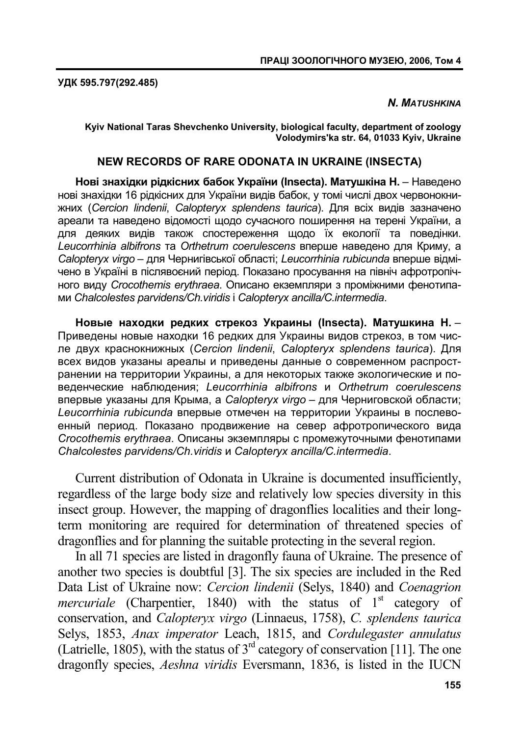**УДК 595.797(292.485)** 

#### *N. MATUSHKINA*

**Kyiv National Taras Shevchenko University, biological faculty, department of zoology Volodymirs'ka str. 64, 01033 Kyiv, Ukraine** 

#### **NEW RECORDS OF RARE ODONATA IN UKRAINE (INSECTA)**

**Нові знахідки рідкісних бабок України (Insecta). Матушкіна Н.** – Наведено нові знахідки 16 рідкісних для України видів бабок, у томі числі двох червонокнижних (*Cercion lindenii*, *Сalopteryx splendens taurica*). Для всіх видів зазначено ареали та наведено відомості щодо сучасного поширення на терені України, а для деяких видів також спостереження щодо їх екології та поведінки. *Leucorrhinia albifrons* та *Orthetrum coerulescens* вперше наведено для Криму, а *Calopteryx virgo* – для Чернигівської області; *Leucorrhinia rubicunda* вперше відмічено в Україні в післявоєний період. Показано просування на північ афротропічного виду *Crocothemis erythraea*. Описано екземпляри з проміжними фенотипами *Chalcolestes parvidens/Ch.viridis* і *Calopteryx ancilla/C.intermedia*.

**Новые находки редких стрекоз Украины (Insecta). Матушкина Н.** – Приведены новые находки 16 редких для Украины видов стрекоз, в том числе двух краснокнижных (*Cercion lindenii*, *Сalopteryx splendens taurica*). Для всех видов указаны ареалы и приведены данные о современном распространении на территории Украины, а для некоторых также экологические и поведенческие наблюдения; *Leucorrhinia albifrons* и *Orthetrum coerulescens* впервые указаны для Крыма, а *Calopteryx virgo* – для Черниговской области; *Leucorrhinia rubicunda* впервые отмечен на территории Украины в послевоенный период. Показано продвижение на север афротропического вида *Crocothemis erythraea*. Описаны экземпляры с промежуточными фенотипами *Chalcolestes parvidens/Ch.viridis* и *Calopteryx ancilla/C.intermedia*.

Current distribution of Odonata in Ukraine is documented insufficiently, regardless of the large body size and relatively low species diversity in this insect group. However, the mapping of dragonflies localities and their longterm monitoring are required for determination of threatened species of dragonflies and for planning the suitable protecting in the several region.

In all 71 species are listed in dragonfly fauna of Ukraine. The presence of another two species is doubtful [3]. The six species are included in the Red Data List of Ukraine now: *Cercion lindenii* (Selys, 1840) and *Coenagrion mercuriale* (Charpentier, 1840) with the status of 1<sup>st</sup> category of conservation, and *Calopteryx virgo* (Linnaeus, 1758), *C. splendens taurica* Selys, 1853, *Anax imperator* Leach, 1815, and *Cordulegaster annulatus* (Latrielle, 1805), with the status of  $3<sup>rd</sup>$  category of conservation [11]. The one dragonfly species, *Aeshna viridis* Eversmann, 1836, is listed in the IUCN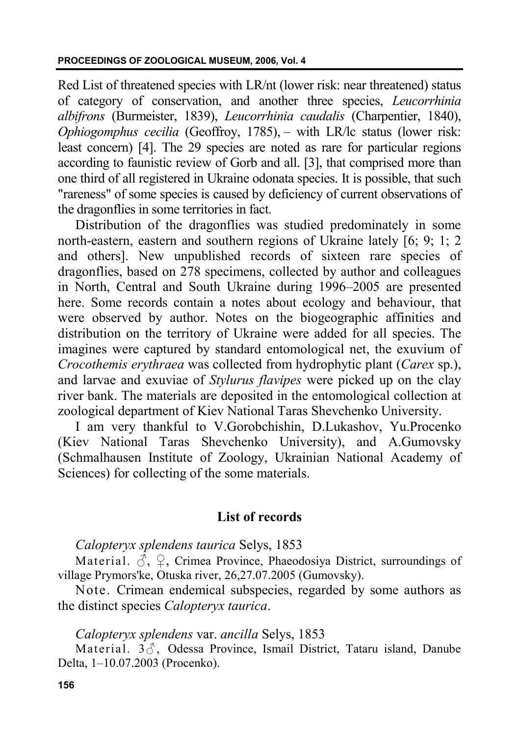Red List of threatened species with LR/nt (lower risk: near threatened) status of category of conservation, and another three species, *Leucorrhinia albifrons* (Burmeister, 1839), *Leucorrhinia caudalis* (Charpentier, 1840), *Ophiogomphus cecilia* (Geoffroy, 1785), – with LR/lc status (lower risk: least concern) [4]. The 29 species are noted as rare for particular regions according to faunistic review of Gorb and all. [3], that comprised more than one third of all registered in Ukraine odonata species. It is possible, that such "rareness" of some species is caused by deficiency of current observations of the dragonflies in some territories in fact.

Distribution of the dragonflies was studied predominately in some north-eastern, eastern and southern regions of Ukraine lately [6; 9; 1; 2 and others]. New unpublished records of sixteen rare species of dragonflies, based on 278 specimens, collected by author and colleagues in North, Central and South Ukraine during 1996–2005 are presented here. Some records contain a notes about ecology and behaviour, that were observed by author. Notes on the biogeographic affinities and distribution on the territory of Ukraine were added for all species. The imagines were captured by standard entomological net, the exuvium of *Crocothemis erythraea* was collected from hydrophytic plant (*Carex* sp.), and larvae and exuviae of *Stylurus flavipes* were picked up on the clay river bank. The materials are deposited in the entomological collection at zoological department of Kiev National Taras Shevchenko University.

I am very thankful to V.Gorobchishin, D.Lukashov, Yu.Procenko (Kiev National Taras Shevchenko University), and A.Gumovsky (Schmalhausen Institute of Zoology, Ukrainian National Academy of Sciences) for collecting of the some materials.

# **List of records**

*Calopteryx splendens taurica* Selys, 1853

Material.  $\mathcal{S}, \mathcal{Q},$  Crimea Province, Phaeodosiya District, surroundings of village Prymors'ke, Otuska river, 26,27.07.2005 (Gumovsky).

Note. Crimean endemical subspecies, regarded by some authors as the distinct species *Calopteryx taurica*.

# *Calopteryx splendens* var. *ancilla* Selys, 1853

Material.  $3\delta$ , Odessa Province, Ismail District, Tataru island, Danube Delta, 1–10.07.2003 (Procenko).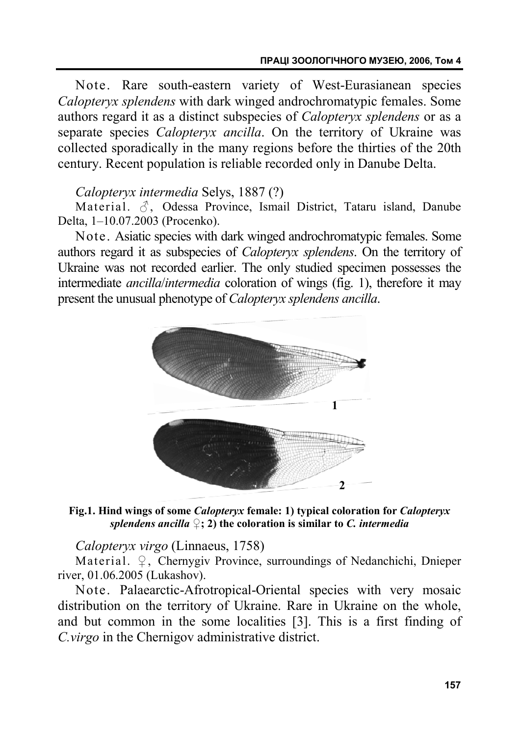Note. Rare south-eastern variety of West-Eurasianean species *Calopteryx splendens* with dark winged androchromatypic females. Some authors regard it as a distinct subspecies of *Calopteryx splendens* or as a separate species *Calopteryx ancilla*. On the territory of Ukraine was collected sporadically in the many regions before the thirties of the 20th century. Recent population is reliable recorded only in Danube Delta.

## *Calopteryx intermedia* Selys, 1887 (?)

Material.  $\beta$ , Odessa Province, Ismail District, Tataru island, Danube Delta, 1–10.07.2003 (Procenko).

Note. Asiatic species with dark winged androchromatypic females. Some authors regard it as subspecies of *Calopteryx splendens*. On the territory of Ukraine was not recorded earlier. The only studied specimen possesses the intermediate *ancilla*/*intermedia* coloration of wings (fig. 1), therefore it may present the unusual phenotype of *Calopteryx splendens ancilla*.



**Fig.1. Hind wings of some** *Calopteryx* **female: 1) typical coloration for** *Calopteryx splendens ancilla*  $\mathcal{L}$ ; 2) the coloration is similar to *C. intermedia* 

*Calopteryx virgo* (Linnaeus, 1758)

Material. ♀, Chernygiv Province, surroundings of Nedanchichi, Dnieper river, 01.06.2005 (Lukashov).

Note. Palaearctic-Afrotropical-Oriental species with very mosaic distribution on the territory of Ukraine. Rare in Ukraine on the whole, and but common in the some localities [3]. This is a first finding of *C.virgo* in the Chernigov administrative district.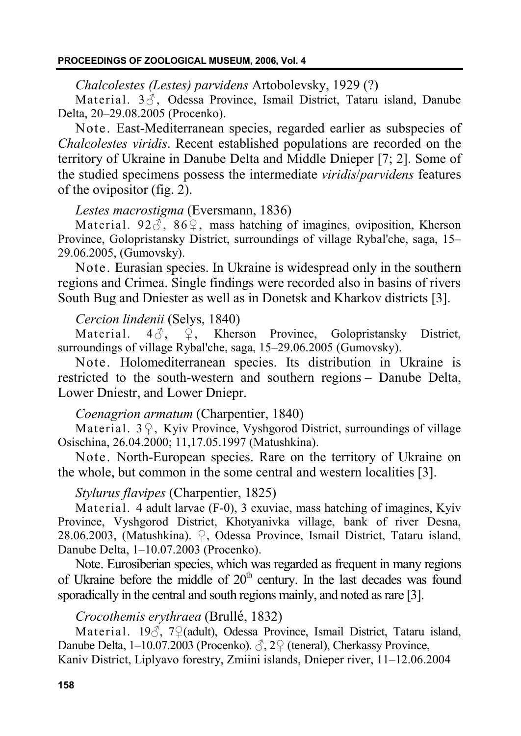#### *Chalcolestes (Lestes) parvidens* Artobolevsky, 1929 (?)

Material.  $3\ddot{\uparrow}$ , Odessa Province, Ismail District, Tataru island, Danube Delta, 20–29.08.2005 (Procenko).

Note. East-Mediterranean species, regarded earlier as subspecies of *Chalcolestes viridis*. Recent established populations are recorded on the territory of Ukraine in Danube Delta and Middle Dnieper [7; 2]. Some of the studied specimens possess the intermediate *viridis*/*parvidens* features of the ovipositor (fig. 2).

## *Lestes macrostigma* (Eversmann, 1836)

Material. 92 $\delta$ , 86 $\circ$ , mass hatching of imagines, oviposition, Kherson Province, Golopristansky District, surroundings of village Rybal'che, saga, 15– 29.06.2005, (Gumovsky).

Note. Eurasian species. In Ukraine is widespread only in the southern regions and Crimea. Single findings were recorded also in basins of rivers South Bug and Dniester as well as in Donetsk and Kharkov districts [3].

## *Cercion lindenii* (Selys, 1840)

Material.  $4\delta$ ,  $\overline{Q}$ , Kherson Province, Golopristansky District, surroundings of village Rybal'che, saga, 15–29.06.2005 (Gumovsky).

Note. Holomediterranean species. Its distribution in Ukraine is restricted to the south-western and southern regions – Danube Delta, Lower Dniestr, and Lower Dniepr.

# *Coenagrion armatum* (Charpentier, 1840)

Material. 3♀, Kyiv Province, Vyshgorod District, surroundings of village Osischina, 26.04.2000; 11,17.05.1997 (Matushkina).

Note. North-European species. Rare on the territory of Ukraine on the whole, but common in the some central and western localities [3].

## *Stylurus flavipes* (Charpentier, 1825)

Material. 4 adult larvae (F-0), 3 exuviae, mass hatching of imagines, Kyiv Province, Vyshgorod District, Khotyanivka village, bank of river Desna, 28.06.2003, (Matushkina). ♀, Odessa Province, Ismail District, Tataru island, Danube Delta, 1–10.07.2003 (Procenko).

Note. Eurosiberian species, which was regarded as frequent in many regions of Ukraine before the middle of  $20<sup>th</sup>$  century. In the last decades was found sporadically in the central and south regions mainly, and noted as rare [3].

# *Crocothemis erythraea* (Brullé, 1832)

Material. 19♂, 7♀(adult), Odessa Province, Ismail District, Tataru island, Danube Delta, 1–10.07.2003 (Procenko). ♂, 2♀ (teneral), Cherkassy Province, Kaniv District, Liplyavo forestry, Zmiini islands, Dnieper river, 11–12.06.2004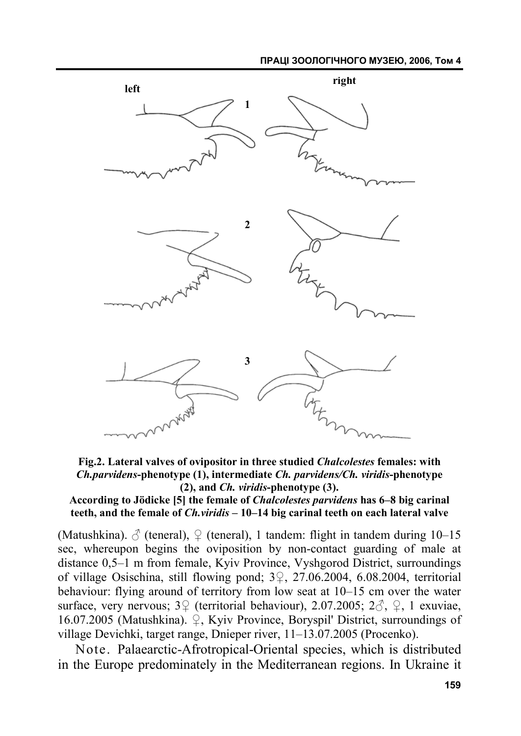#### **ПРАЦІ ЗООЛОГІЧНОГО МУЗЕЮ, 2006, Том 4**



**Fig.2. Lateral valves of ovipositor in three studied** *Chalcolestes* **females: with**  *Ch.parvidens***-phenotype (1), intermediate** *Ch. parvidens/Ch. viridis***-phenotype (2), and** *Ch. viridis***-phenotype (3).** 

#### **According to Jödicke [5] the female of** *Chalcolestes parvidens* **has 6–8 big carinal teeth, and the female of** *Ch.viridis* **– 10–14 big carinal teeth on each lateral valve**

(Matushkina).  $\delta$  (teneral),  $\Omega$  (teneral), 1 tandem: flight in tandem during 10–15 sec, whereupon begins the oviposition by non-contact guarding of male at distance 0,5–1 m from female, Kyiv Province, Vyshgorod District, surroundings of village Osischina, still flowing pond; 3♀, 27.06.2004, 6.08.2004, territorial behaviour: flying around of territory from low seat at 10–15 cm over the water surface, very nervous;  $3\sqrt{2}$  (territorial behaviour), 2.07.2005;  $2\sqrt{2}$ ,  $\sqrt{2}$ , 1 exuviae, 16.07.2005 (Matushkina). ♀, Kyiv Province, Boryspil' District, surroundings of village Devichki, target range, Dnieper river, 11–13.07.2005 (Procenko).

Note. Palaearctic-Afrotropical-Oriental species, which is distributed in the Europe predominately in the Mediterranean regions. In Ukraine it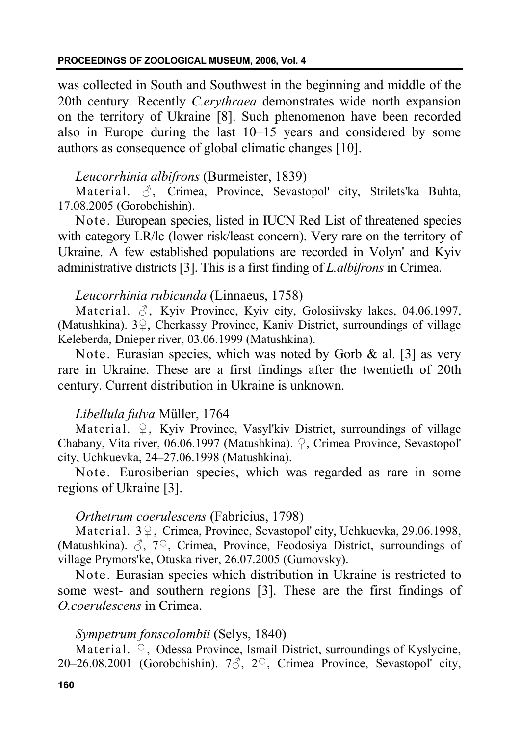was collected in South and Southwest in the beginning and middle of the 20th century. Recently *C.erythraea* demonstrates wide north expansion on the territory of Ukraine [8]. Such phenomenon have been recorded also in Europe during the last 10–15 years and considered by some authors as consequence of global climatic changes [10].

# *Leucorrhinia albifrons* (Burmeister, 1839)

Material. ♂, Crimea, Province, Sevastopol' city, Strilets'ka Buhta, 17.08.2005 (Gorobchishin).

Note. European species, listed in IUCN Red List of threatened species with category LR/lc (lower risk/least concern). Very rare on the territory of Ukraine. A few established populations are recorded in Volyn' and Kyiv administrative districts [3]. This is a first finding of *L.albifrons* in Crimea.

## *Leucorrhinia rubicunda* (Linnaeus, 1758)

Material.  $\delta$ , Kyiv Province, Kyiv city, Golosiivsky lakes, 04.06.1997, (Matushkina). 3♀, Cherkassy Province, Kaniv District, surroundings of village Keleberda, Dnieper river, 03.06.1999 (Matushkina).

Note. Eurasian species, which was noted by Gorb  $\&$  al. [3] as very rare in Ukraine. These are a first findings after the twentieth of 20th century. Current distribution in Ukraine is unknown.

## *Libellula fulva* Müller, 1764

Material. ♀, Kyiv Province, Vasyl'kiv District, surroundings of village Chabany, Vita river, 06.06.1997 (Matushkina). ♀, Crimea Province, Sevastopol' city, Uchkuevka, 24–27.06.1998 (Matushkina).

Note. Eurosiberian species, which was regarded as rare in some regions of Ukraine [3].

# *Orthetrum coerulescens* (Fabricius, 1798)

Material. 3♀, Crimea, Province, Sevastopol' city, Uchkuevka, 29.06.1998, (Matushkina).  $\beta$ ,  $7\frac{1}{2}$ , Crimea, Province, Feodosiya District, surroundings of village Prymors'ke, Otuska river, 26.07.2005 (Gumovsky).

Note. Eurasian species which distribution in Ukraine is restricted to some west- and southern regions [3]. These are the first findings of *O.coerulescens* in Crimea.

## *Sympetrum fonscolombii* (Selys, 1840)

Material. ♀, Odessa Province, Ismail District, surroundings of Kyslycine, 20–26.08.2001 (Gorobchishin). 7♂, 2♀, Crimea Province, Sevastopol' city,